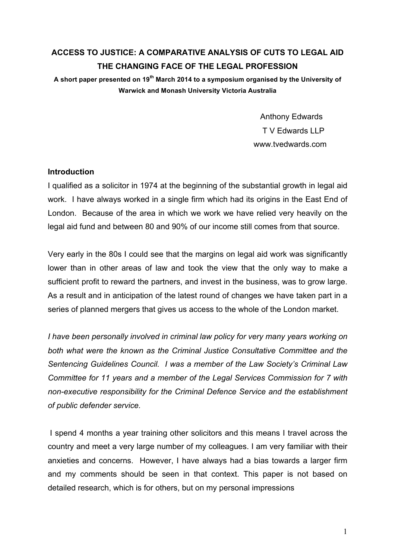# **ACCESS TO JUSTICE: A COMPARATIVE ANALYSIS OF CUTS TO LEGAL AID THE CHANGING FACE OF THE LEGAL PROFESSION**

**A short paper presented on 19th March 2014 to a symposium organised by the University of Warwick and Monash University Victoria Australia**

> Anthony Edwards T V Edwards LLP www.tvedwards.com

## **Introduction**

I qualified as a solicitor in 1974 at the beginning of the substantial growth in legal aid work. I have always worked in a single firm which had its origins in the East End of London. Because of the area in which we work we have relied very heavily on the legal aid fund and between 80 and 90% of our income still comes from that source.

Very early in the 80s I could see that the margins on legal aid work was significantly lower than in other areas of law and took the view that the only way to make a sufficient profit to reward the partners, and invest in the business, was to grow large. As a result and in anticipation of the latest round of changes we have taken part in a series of planned mergers that gives us access to the whole of the London market.

*I have been personally involved in criminal law policy for very many years working on both what were the known as the Criminal Justice Consultative Committee and the Sentencing Guidelines Council. I was a member of the Law Society's Criminal Law Committee for 11 years and a member of the Legal Services Commission for 7 with non-executive responsibility for the Criminal Defence Service and the establishment of public defender service.* 

I spend 4 months a year training other solicitors and this means I travel across the country and meet a very large number of my colleagues. I am very familiar with their anxieties and concerns. However, I have always had a bias towards a larger firm and my comments should be seen in that context. This paper is not based on detailed research, which is for others, but on my personal impressions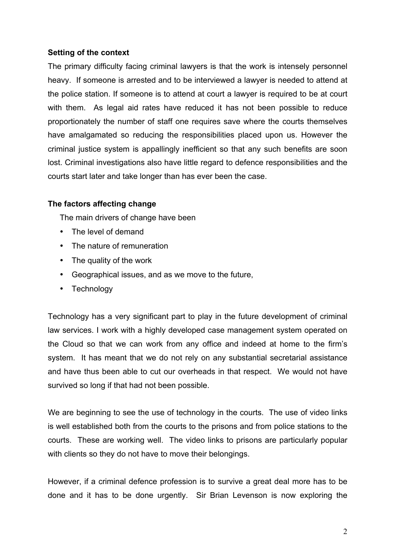# **Setting of the context**

The primary difficulty facing criminal lawyers is that the work is intensely personnel heavy. If someone is arrested and to be interviewed a lawyer is needed to attend at the police station. If someone is to attend at court a lawyer is required to be at court with them. As legal aid rates have reduced it has not been possible to reduce proportionately the number of staff one requires save where the courts themselves have amalgamated so reducing the responsibilities placed upon us. However the criminal justice system is appallingly inefficient so that any such benefits are soon lost. Criminal investigations also have little regard to defence responsibilities and the courts start later and take longer than has ever been the case.

## **The factors affecting change**

The main drivers of change have been

- The level of demand
- The nature of remuneration
- The quality of the work
- Geographical issues, and as we move to the future,
- Technology

Technology has a very significant part to play in the future development of criminal law services. I work with a highly developed case management system operated on the Cloud so that we can work from any office and indeed at home to the firm's system. It has meant that we do not rely on any substantial secretarial assistance and have thus been able to cut our overheads in that respect. We would not have survived so long if that had not been possible.

We are beginning to see the use of technology in the courts. The use of video links is well established both from the courts to the prisons and from police stations to the courts. These are working well. The video links to prisons are particularly popular with clients so they do not have to move their belongings.

However, if a criminal defence profession is to survive a great deal more has to be done and it has to be done urgently. Sir Brian Levenson is now exploring the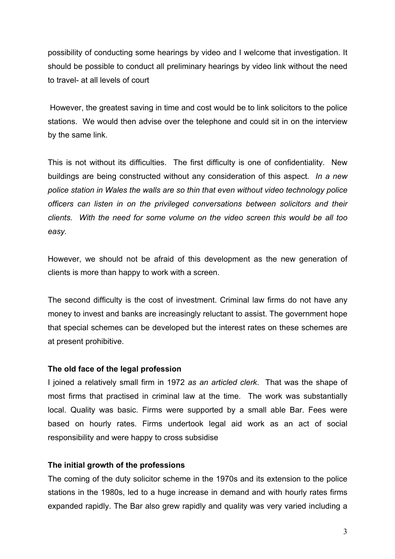possibility of conducting some hearings by video and I welcome that investigation. It should be possible to conduct all preliminary hearings by video link without the need to travel- at all levels of court

However, the greatest saving in time and cost would be to link solicitors to the police stations. We would then advise over the telephone and could sit in on the interview by the same link.

This is not without its difficulties. The first difficulty is one of confidentiality. New buildings are being constructed without any consideration of this aspect*. In a new police station in Wales the walls are so thin that even without video technology police officers can listen in on the privileged conversations between solicitors and their clients. With the need for some volume on the video screen this would be all too easy.* 

However, we should not be afraid of this development as the new generation of clients is more than happy to work with a screen.

The second difficulty is the cost of investment. Criminal law firms do not have any money to invest and banks are increasingly reluctant to assist. The government hope that special schemes can be developed but the interest rates on these schemes are at present prohibitive.

# **The old face of the legal profession**

I joined a relatively small firm in 1972 *as an articled clerk*. That was the shape of most firms that practised in criminal law at the time. The work was substantially local. Quality was basic. Firms were supported by a small able Bar. Fees were based on hourly rates. Firms undertook legal aid work as an act of social responsibility and were happy to cross subsidise

## **The initial growth of the professions**

The coming of the duty solicitor scheme in the 1970s and its extension to the police stations in the 1980s, led to a huge increase in demand and with hourly rates firms expanded rapidly. The Bar also grew rapidly and quality was very varied including a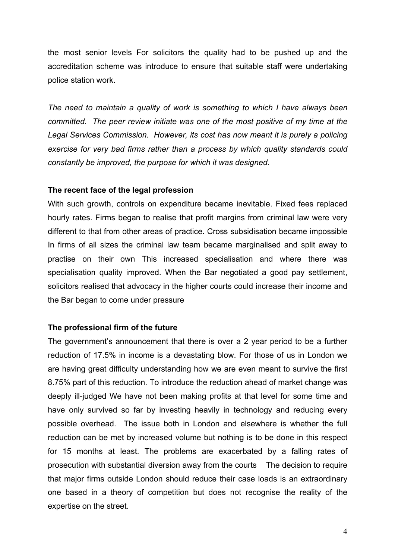the most senior levels For solicitors the quality had to be pushed up and the accreditation scheme was introduce to ensure that suitable staff were undertaking police station work.

*The need to maintain a quality of work is something to which I have always been committed. The peer review initiate was one of the most positive of my time at the Legal Services Commission. However, its cost has now meant it is purely a policing exercise for very bad firms rather than a process by which quality standards could constantly be improved, the purpose for which it was designed.* 

#### **The recent face of the legal profession**

With such growth, controls on expenditure became inevitable. Fixed fees replaced hourly rates. Firms began to realise that profit margins from criminal law were very different to that from other areas of practice. Cross subsidisation became impossible In firms of all sizes the criminal law team became marginalised and split away to practise on their own This increased specialisation and where there was specialisation quality improved. When the Bar negotiated a good pay settlement, solicitors realised that advocacy in the higher courts could increase their income and the Bar began to come under pressure

#### **The professional firm of the future**

The government's announcement that there is over a 2 year period to be a further reduction of 17.5% in income is a devastating blow. For those of us in London we are having great difficulty understanding how we are even meant to survive the first 8.75% part of this reduction. To introduce the reduction ahead of market change was deeply ill-judged We have not been making profits at that level for some time and have only survived so far by investing heavily in technology and reducing every possible overhead. The issue both in London and elsewhere is whether the full reduction can be met by increased volume but nothing is to be done in this respect for 15 months at least. The problems are exacerbated by a falling rates of prosecution with substantial diversion away from the courts The decision to require that major firms outside London should reduce their case loads is an extraordinary one based in a theory of competition but does not recognise the reality of the expertise on the street.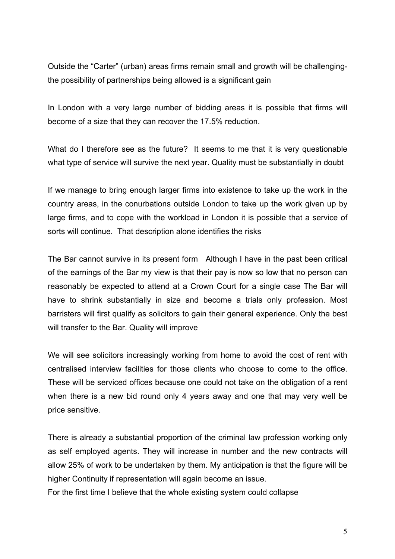Outside the "Carter" (urban) areas firms remain small and growth will be challengingthe possibility of partnerships being allowed is a significant gain

In London with a very large number of bidding areas it is possible that firms will become of a size that they can recover the 17.5% reduction.

What do I therefore see as the future? It seems to me that it is very questionable what type of service will survive the next year. Quality must be substantially in doubt

If we manage to bring enough larger firms into existence to take up the work in the country areas, in the conurbations outside London to take up the work given up by large firms, and to cope with the workload in London it is possible that a service of sorts will continue. That description alone identifies the risks

The Bar cannot survive in its present form Although I have in the past been critical of the earnings of the Bar my view is that their pay is now so low that no person can reasonably be expected to attend at a Crown Court for a single case The Bar will have to shrink substantially in size and become a trials only profession. Most barristers will first qualify as solicitors to gain their general experience. Only the best will transfer to the Bar. Quality will improve

We will see solicitors increasingly working from home to avoid the cost of rent with centralised interview facilities for those clients who choose to come to the office. These will be serviced offices because one could not take on the obligation of a rent when there is a new bid round only 4 years away and one that may very well be price sensitive.

There is already a substantial proportion of the criminal law profession working only as self employed agents. They will increase in number and the new contracts will allow 25% of work to be undertaken by them. My anticipation is that the figure will be higher Continuity if representation will again become an issue.

For the first time I believe that the whole existing system could collapse